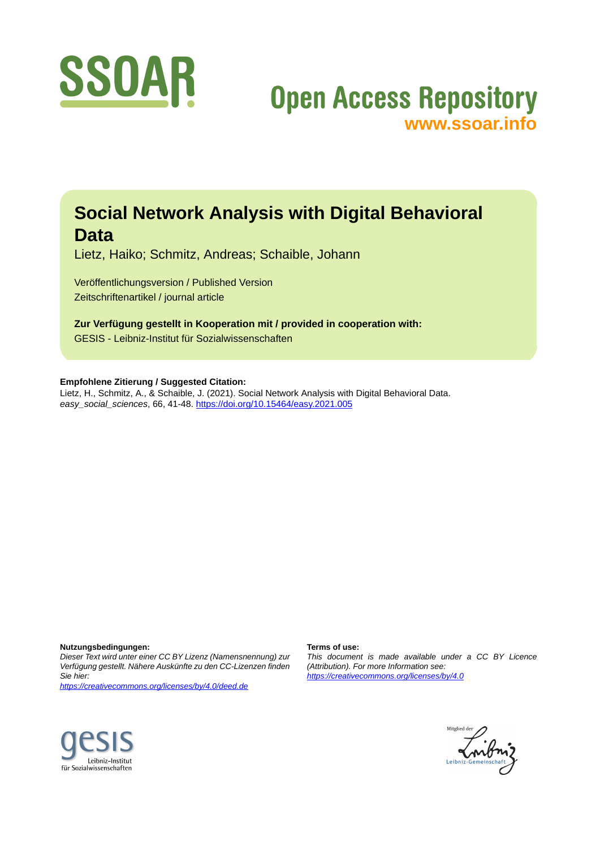

## **Open Access Repository [www.ssoar.info](http://www.ssoar.info)**

### **Social Network Analysis with Digital Behavioral Data**

Lietz, Haiko; Schmitz, Andreas; Schaible, Johann

Veröffentlichungsversion / Published Version Zeitschriftenartikel / journal article

**Zur Verfügung gestellt in Kooperation mit / provided in cooperation with:** GESIS - Leibniz-Institut für Sozialwissenschaften

**Empfohlene Zitierung / Suggested Citation:**

Lietz, H., Schmitz, A., & Schaible, J. (2021). Social Network Analysis with Digital Behavioral Data. *easy\_social\_sciences*, 66, 41-48. <https://doi.org/10.15464/easy.2021.005>

**Nutzungsbedingungen:**

*Dieser Text wird unter einer CC BY Lizenz (Namensnennung) zur Verfügung gestellt. Nähere Auskünfte zu den CC-Lizenzen finden Sie hier:*

*<https://creativecommons.org/licenses/by/4.0/deed.de>*

#### **Terms of use:**

*This document is made available under a CC BY Licence (Attribution). For more Information see: <https://creativecommons.org/licenses/by/4.0>*



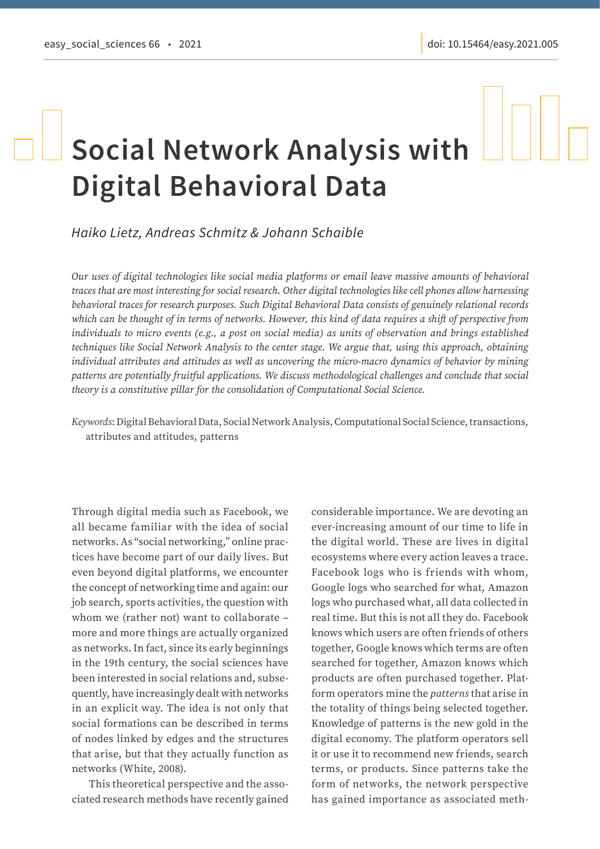# **Social Network Analysis with Digital Behavioral Data**

*Haiko Lietz, Andreas Schmitz & Johann Schaible*

*Our uses of digital technologies like social media platforms or email leave massive amounts of behavioral traces that are most interesting for social research. Other digital technologies like cell phones allow harnessing behavioral traces for research purposes. Such Digital Behavioral Data consists of genuinely relational records which can be thought of in terms of networks. However, this kind of data requires a shift of perspective from individuals to micro events (e.g., a post on social media) as units of observation and brings established techniques like Social Network Analysis to the center stage. We argue that, using this approach, obtaining individual attributes and attitudes as well as uncovering the micro-macro dynamics of behavior by mining patterns are potentially fruitful applications. We discuss methodological challenges and conclude that social theory is a constitutive pillar for the consolidation of Computational Social Science.*

*Keywords*: Digital Behavioral Data, Social Network Analysis, Computational Social Science, transactions, attributes and attitudes, patterns

Through digital media such as Facebook, we all became familiar with the idea of social networks. As "social networking," online practices have become part of our daily lives. But even beyond digital platforms, we encounter the concept of networking time and again: our job search, sports activities, the question with whom we (rather not) want to collaborate – more and more things are actually organized as networks. In fact, since its early beginnings in the 19th century, the social sciences have been interested in social relations and, subsequently, have increasingly dealt with networks in an explicit way. The idea is not only that social formations can be described in terms of nodes linked by edges and the structures that arise, but that they actually function as networks (White, 2008).

This theoretical perspective and the associated research methods have recently gained

considerable importance. We are devoting an ever-increasing amount of our time to life in the digital world. These are lives in digital ecosystems where every action leaves a trace. Facebook logs who is friends with whom, Google logs who searched for what, Amazon logs who purchased what, all data collected in real time. But this is not all they do. Facebook knows which users are often friends of others together, Google knows which terms are often searched for together, Amazon knows which products are often purchased together. Platform operators mine the *patterns* that arise in the totality of things being selected together. Knowledge of patterns is the new gold in the digital economy. The platform operators sell it or use it to recommend new friends, search terms, or products. Since patterns take the form of networks, the network perspective has gained importance as associated meth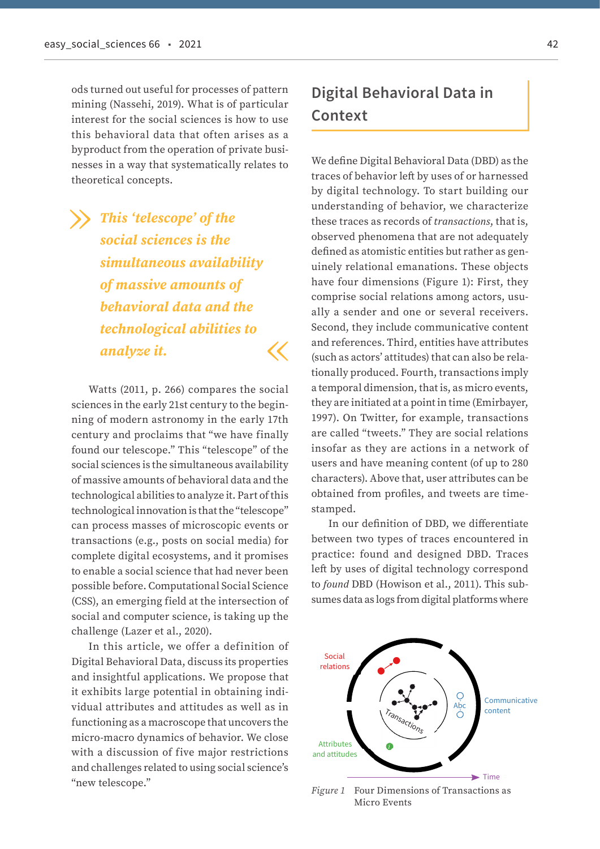ods turned out useful for processes of pattern mining (Nassehi, 2019). What is of particular interest for the social sciences is how to use this behavioral data that often arises as a byproduct from the operation of private businesses in a way that systematically relates to theoretical concepts.

# *This 'telescope' of the social sciences is the simultaneous availability of massive amounts of behavioral data and the technological abilities to analyze it.* « »

Watts (2011, p. 266) compares the social sciences in the early 21st century to the beginning of modern astronomy in the early 17th century and proclaims that "we have finally found our telescope." This "telescope" of the social sciences is the simultaneous availability of massive amounts of behavioral data and the technological abilities to analyze it. Part of this technological innovation is that the "telescope" can process masses of microscopic events or transactions (e.g., posts on social media) for complete digital ecosystems, and it promises to enable a social science that had never been possible before. Computational Social Science (CSS), an emerging field at the intersection of social and computer science, is taking up the challenge (Lazer et al., 2020).

In this article, we offer a definition of Digital Behavioral Data, discuss its properties and insightful applications. We propose that it exhibits large potential in obtaining individual attributes and attitudes as well as in functioning as a macroscope that uncovers the micro-macro dynamics of behavior. We close with a discussion of five major restrictions and challenges related to using social science's "new telescope."

### **Digital Behavioral Data in Context**

We define Digital Behavioral Data (DBD) as the traces of behavior left by uses of or harnessed by digital technology. To start building our understanding of behavior, we characterize these traces as records of *transactions*, that is, observed phenomena that are not adequately defined as atomistic entities but rather as genuinely relational emanations. These objects have four dimensions (Figure 1): First, they comprise social relations among actors, usually a sender and one or several receivers. Second, they include communicative content and references. Third, entities have attributes (such as actors' attitudes) that can also be relationally produced. Fourth, transactions imply a temporal dimension, that is, as micro events, they are initiated at a point in time (Emirbayer, 1997). On Twitter, for example, transactions are called "tweets." They are social relations insofar as they are actions in a network of users and have meaning content (of up to 280 characters). Above that, user attributes can be obtained from profiles, and tweets are timestamped.

In our definition of DBD, we differentiate between two types of traces encountered in practice: found and designed DBD. Traces left by uses of digital technology correspond to *found* DBD (Howison et al., 2011). This subsumes data as logs from digital platforms where



*Figure 1* Four Dimensions of Transactions as Micro Events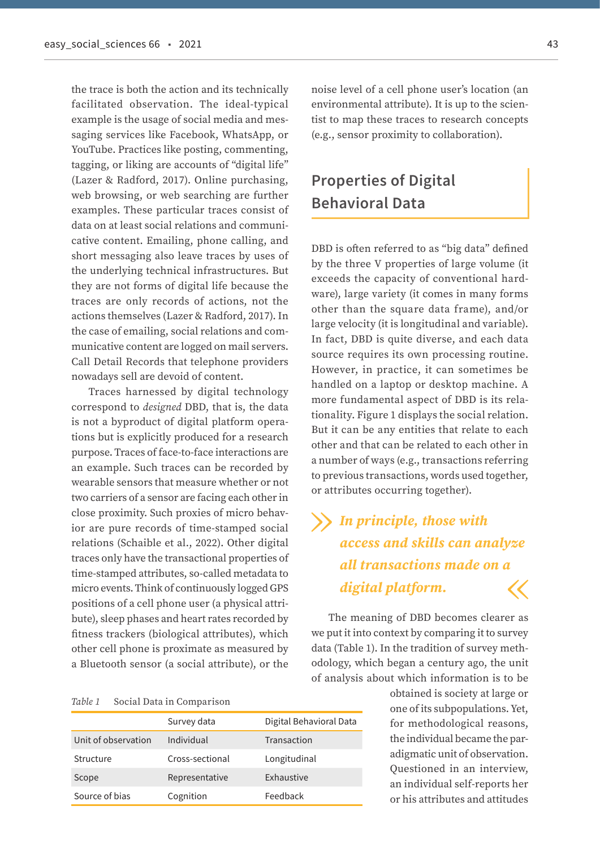the trace is both the action and its technically facilitated observation. The ideal-typical example is the usage of social media and messaging services like Facebook, WhatsApp, or YouTube. Practices like posting, commenting, tagging, or liking are accounts of "digital life" (Lazer & Radford, 2017). Online purchasing, web browsing, or web searching are further examples. These particular traces consist of data on at least social relations and communicative content. Emailing, phone calling, and short messaging also leave traces by uses of the underlying technical infrastructures. But they are not forms of digital life because the traces are only records of actions, not the actions themselves (Lazer & Radford, 2017). In the case of emailing, social relations and communicative content are logged on mail servers. Call Detail Records that telephone providers nowadays sell are devoid of content.

Traces harnessed by digital technology correspond to *designed* DBD, that is, the data is not a byproduct of digital platform operations but is explicitly produced for a research purpose. Traces of face-to-face interactions are an example. Such traces can be recorded by wearable sensors that measure whether or not two carriers of a sensor are facing each other in close proximity. Such proxies of micro behavior are pure records of time-stamped social relations (Schaible et al., 2022). Other digital traces only have the transactional properties of time-stamped attributes, so-called metadata to micro events. Think of continuously logged GPS positions of a cell phone user (a physical attribute), sleep phases and heart rates recorded by fitness trackers (biological attributes), which other cell phone is proximate as measured by a Bluetooth sensor (a social attribute), or the

#### *Table 1* Social Data in Comparison

|                     | Survey data     | Digital Behavioral Data |
|---------------------|-----------------|-------------------------|
| Unit of observation | Individual      | Transaction             |
| Structure           | Cross-sectional | Longitudinal            |
| Scope               | Representative  | Exhaustive              |
| Source of bias      | Cognition       | Feedback                |

noise level of a cell phone user's location (an environmental attribute). It is up to the scientist to map these traces to research concepts (e.g., sensor proximity to collaboration).

### **Properties of Digital Behavioral Data**

DBD is often referred to as "big data" defined by the three V properties of large volume (it exceeds the capacity of conventional hardware), large variety (it comes in many forms other than the square data frame), and/or large velocity (it is longitudinal and variable). In fact, DBD is quite diverse, and each data source requires its own processing routine. However, in practice, it can sometimes be handled on a laptop or desktop machine. A more fundamental aspect of DBD is its relationality. Figure 1 displays the social relation. But it can be any entities that relate to each other and that can be related to each other in a number of ways (e.g., transactions referring to previous transactions, words used together, or attributes occurring together).

### *In principle, those with access and skills can analyze all transactions made on a digital platform.* « »

The meaning of DBD becomes clearer as we put it into context by comparing it to survey data (Table 1). In the tradition of survey methodology, which began a century ago, the unit of analysis about which information is to be

> obtained is society at large or one of its subpopulations. Yet, for methodological reasons, the individual became the paradigmatic unit of observation. Questioned in an interview, an individual self-reports her or his attributes and attitudes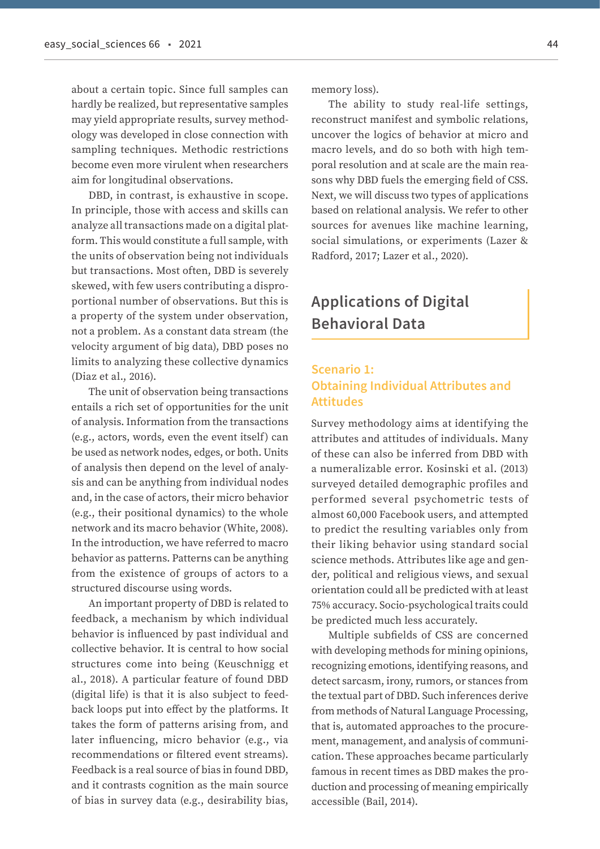about a certain topic. Since full samples can hardly be realized, but representative samples may yield appropriate results, survey methodology was developed in close connection with sampling techniques. Methodic restrictions become even more virulent when researchers aim for longitudinal observations.

DBD, in contrast, is exhaustive in scope. In principle, those with access and skills can analyze all transactions made on a digital platform. This would constitute a full sample, with the units of observation being not individuals but transactions. Most often, DBD is severely skewed, with few users contributing a disproportional number of observations. But this is a property of the system under observation, not a problem. As a constant data stream (the velocity argument of big data), DBD poses no limits to analyzing these collective dynamics (Diaz et al., 2016).

The unit of observation being transactions entails a rich set of opportunities for the unit of analysis. Information from the transactions (e.g., actors, words, even the event itself) can be used as network nodes, edges, or both. Units of analysis then depend on the level of analysis and can be anything from individual nodes and, in the case of actors, their micro behavior (e.g., their positional dynamics) to the whole network and its macro behavior (White, 2008). In the introduction, we have referred to macro behavior as patterns. Patterns can be anything from the existence of groups of actors to a structured discourse using words.

An important property of DBD is related to feedback, a mechanism by which individual behavior is influenced by past individual and collective behavior. It is central to how social structures come into being (Keuschnigg et al., 2018). A particular feature of found DBD (digital life) is that it is also subject to feedback loops put into effect by the platforms. It takes the form of patterns arising from, and later influencing, micro behavior (e.g., via recommendations or filtered event streams). Feedback is a real source of bias in found DBD, and it contrasts cognition as the main source of bias in survey data (e.g., desirability bias,

memory loss).

The ability to study real-life settings, reconstruct manifest and symbolic relations, uncover the logics of behavior at micro and macro levels, and do so both with high temporal resolution and at scale are the main reasons why DBD fuels the emerging field of CSS. Next, we will discuss two types of applications based on relational analysis. We refer to other sources for avenues like machine learning, social simulations, or experiments (Lazer & Radford, 2017; Lazer et al., 2020).

### **Applications of Digital Behavioral Data**

### **Scenario 1: Obtaining Individual Attributes and Attitudes**

Survey methodology aims at identifying the attributes and attitudes of individuals. Many of these can also be inferred from DBD with a numeralizable error. Kosinski et al. (2013) surveyed detailed demographic profiles and performed several psychometric tests of almost 60,000 Facebook users, and attempted to predict the resulting variables only from their liking behavior using standard social science methods. Attributes like age and gender, political and religious views, and sexual orientation could all be predicted with at least 75% accuracy. Socio-psychological traits could be predicted much less accurately.

Multiple subfields of CSS are concerned with developing methods for mining opinions, recognizing emotions, identifying reasons, and detect sarcasm, irony, rumors, or stances from the textual part of DBD. Such inferences derive from methods of Natural Language Processing, that is, automated approaches to the procurement, management, and analysis of communication. These approaches became particularly famous in recent times as DBD makes the production and processing of meaning empirically accessible (Bail, 2014).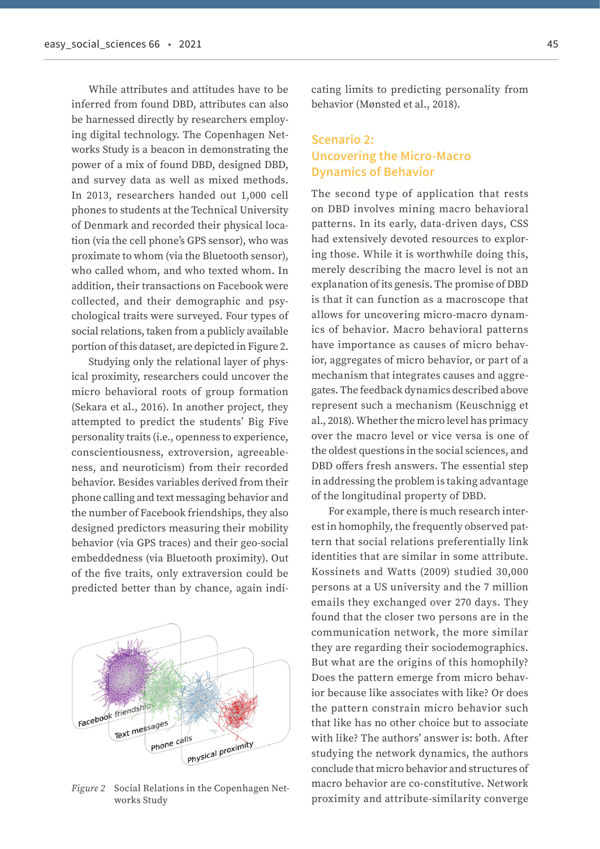While attributes and attitudes have to be inferred from found DBD, attributes can also be harnessed directly by researchers employing digital technology. The Copenhagen Networks Study is a beacon in demonstrating the power of a mix of found DBD, designed DBD, and survey data as well as mixed methods. In 2013, researchers handed out 1,000 cell phones to students at the Technical University of Denmark and recorded their physical location (via the cell phone's GPS sensor), who was proximate to whom (via the Bluetooth sensor), who called whom, and who texted whom. In addition, their transactions on Facebook were collected, and their demographic and psychological traits were surveyed. Four types of social relations, taken from a publicly available portion of this dataset, are depicted in Figure 2.

Studying only the relational layer of physical proximity, researchers could uncover the micro behavioral roots of group formation (Sekara et al., 2016). In another project, they attempted to predict the students' Big Five personality traits (i.e., openness to experience, conscientiousness, extroversion, agreeableness, and neuroticism) from their recorded behavior. Besides variables derived from their phone calling and text messaging behavior and the number of Facebook friendships, they also designed predictors measuring their mobility behavior (via GPS traces) and their geo-social embeddedness (via Bluetooth proximity). Out of the five traits, only extraversion could be predicted better than by chance, again indi-



*Figure 2* Social Relations in the Copenhagen Networks Study

cating limits to predicting personality from behavior (Mønsted et al., 2018).

### **Scenario 2: Uncovering the Micro-Macro Dynamics of Behavior**

The second type of application that rests on DBD involves mining macro behavioral patterns. In its early, data-driven days, CSS had extensively devoted resources to exploring those. While it is worthwhile doing this, merely describing the macro level is not an explanation of its genesis. The promise of DBD is that it can function as a macroscope that allows for uncovering micro-macro dynamics of behavior. Macro behavioral patterns have importance as causes of micro behavior, aggregates of micro behavior, or part of a mechanism that integrates causes and aggregates. The feedback dynamics described above represent such a mechanism (Keuschnigg et al., 2018). Whether the micro level has primacy over the macro level or vice versa is one of the oldest questions in the social sciences, and DBD offers fresh answers. The essential step in addressing the problem is taking advantage of the longitudinal property of DBD.

For example, there is much research interest in homophily, the frequently observed pattern that social relations preferentially link identities that are similar in some attribute. Kossinets and Watts (2009) studied 30,000 persons at a US university and the 7 million emails they exchanged over 270 days. They found that the closer two persons are in the communication network, the more similar they are regarding their sociodemographics. But what are the origins of this homophily? Does the pattern emerge from micro behavior because like associates with like? Or does the pattern constrain micro behavior such that like has no other choice but to associate with like? The authors' answer is: both. After studying the network dynamics, the authors conclude that micro behavior and structures of macro behavior are co-constitutive. Network proximity and attribute-similarity converge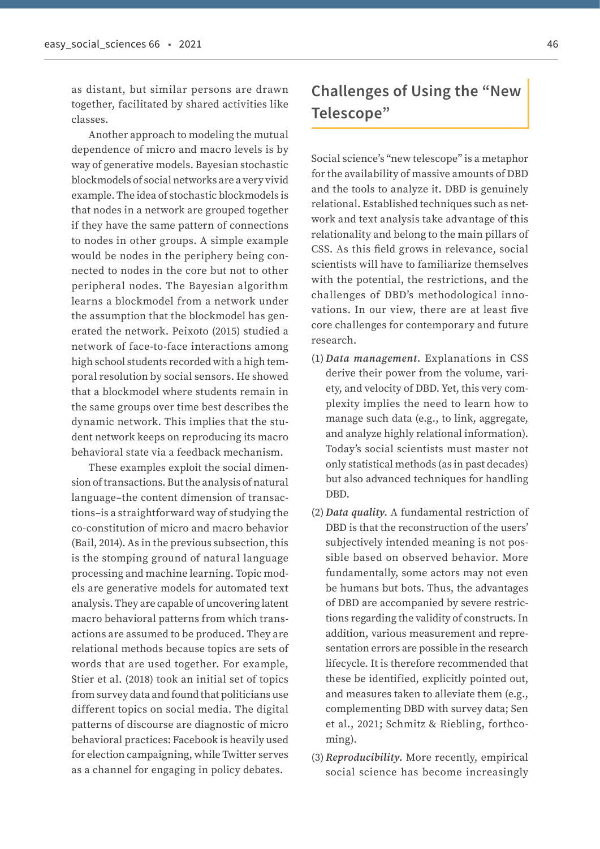as distant, but similar persons are drawn together, facilitated by shared activities like classes.

Another approach to modeling the mutual dependence of micro and macro levels is by way of generative models. Bayesian stochastic blockmodels of social networks are a very vivid example. The idea of stochastic blockmodels is that nodes in a network are grouped together if they have the same pattern of connections to nodes in other groups. A simple example would be nodes in the periphery being connected to nodes in the core but not to other peripheral nodes. The Bayesian algorithm learns a blockmodel from a network under the assumption that the blockmodel has generated the network. Peixoto (2015) studied a network of face-to-face interactions among high school students recorded with a high temporal resolution by social sensors. He showed that a blockmodel where students remain in the same groups over time best describes the dynamic network. This implies that the student network keeps on reproducing its macro behavioral state via a feedback mechanism.

These examples exploit the social dimension of transactions. But the analysis of natural language–the content dimension of transactions–is a straightforward way of studying the co-constitution of micro and macro behavior (Bail, 2014). As in the previous subsection, this is the stomping ground of natural language processing and machine learning. Topic models are generative models for automated text analysis. They are capable of uncovering latent macro behavioral patterns from which transactions are assumed to be produced. They are relational methods because topics are sets of words that are used together. For example, Stier et al. (2018) took an initial set of topics from survey data and found that politicians use different topics on social media. The digital patterns of discourse are diagnostic of micro behavioral practices: Facebook is heavily used for election campaigning, while Twitter serves as a channel for engaging in policy debates.

### **Challenges of Using the "New Telescope"**

Social science's "new telescope" is a metaphor for the availability of massive amounts of DBD and the tools to analyze it. DBD is genuinely relational. Established techniques such as network and text analysis take advantage of this relationality and belong to the main pillars of CSS. As this field grows in relevance, social scientists will have to familiarize themselves with the potential, the restrictions, and the challenges of DBD's methodological innovations. In our view, there are at least five core challenges for contemporary and future research.

- (1)*Data management.* Explanations in CSS derive their power from the volume, variety, and velocity of DBD. Yet, this very complexity implies the need to learn how to manage such data (e.g., to link, aggregate, and analyze highly relational information). Today's social scientists must master not only statistical methods (as in past decades) but also advanced techniques for handling DBD.
- (2)*Data quality.* A fundamental restriction of DBD is that the reconstruction of the users' subjectively intended meaning is not possible based on observed behavior. More fundamentally, some actors may not even be humans but bots. Thus, the advantages of DBD are accompanied by severe restrictions regarding the validity of constructs. In addition, various measurement and representation errors are possible in the research lifecycle. It is therefore recommended that these be identified, explicitly pointed out, and measures taken to alleviate them (e.g., complementing DBD with survey data; Sen et al., 2021; Schmitz & Riebling, forthcoming).
- (3)*Reproducibility.* More recently, empirical social science has become increasingly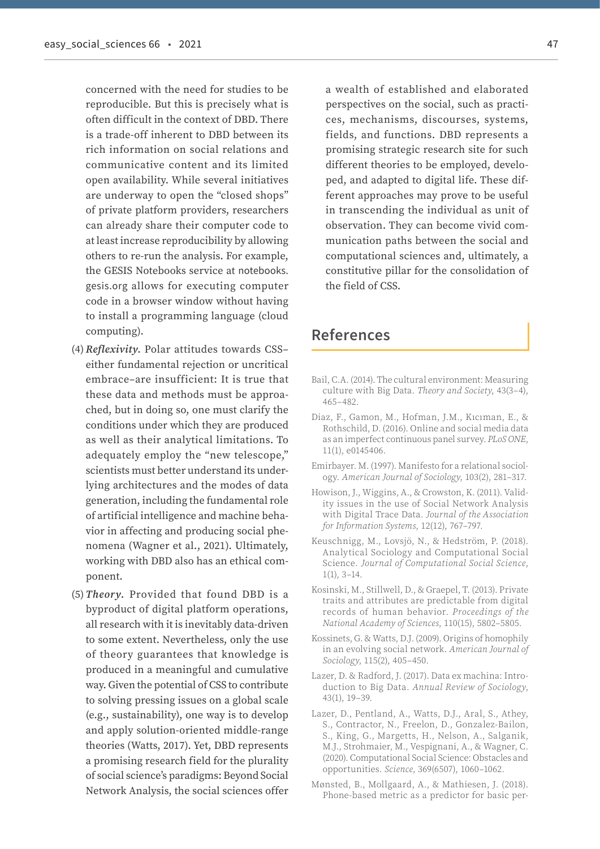concerned with the need for studies to be reproducible. But this is precisely what is often difficult in the context of DBD. There is a trade-off inherent to DBD between its rich information on social relations and communicative content and its limited open availability. While several initiatives are underway to open the "closed shops" of private platform providers, researchers can already share their computer code to at least increase reproducibility by allowing others to re-run the analysis. For example, the GESIS Notebooks service at notebooks. gesis.org allows for executing computer code in a browser window without having to install a programming language (cloud computing).

- (4)*Reflexivity.* Polar attitudes towards CSS– either fundamental rejection or uncritical embrace–are insufficient: It is true that these data and methods must be approached, but in doing so, one must clarify the conditions under which they are produced as well as their analytical limitations. To adequately employ the "new telescope," scientists must better understand its underlying architectures and the modes of data generation, including the fundamental role of artificial intelligence and machine behavior in affecting and producing social phenomena (Wagner et al., 2021). Ultimately, working with DBD also has an ethical component.
- (5) *Theory.* Provided that found DBD is a byproduct of digital platform operations, all research with it is inevitably data-driven to some extent. Nevertheless, only the use of theory guarantees that knowledge is produced in a meaningful and cumulative way. Given the potential of CSS to contribute to solving pressing issues on a global scale (e.g., sustainability), one way is to develop and apply solution-oriented middle-range theories (Watts, 2017). Yet, DBD represents a promising research field for the plurality of social science's paradigms: Beyond Social Network Analysis, the social sciences offer

a wealth of established and elaborated perspectives on the social, such as practices, mechanisms, discourses, systems, fields, and functions. DBD represents a promising strategic research site for such different theories to be employed, developed, and adapted to digital life. These different approaches may prove to be useful in transcending the individual as unit of observation. They can become vivid communication paths between the social and computational sciences and, ultimately, a constitutive pillar for the consolidation of the field of CSS.

### **References**

- Bail, C.A. (2014). The cultural environment: Measuring culture with Big Data. *Theory and Society*, 43(3–4), 465–482.
- Diaz, F., Gamon, M., Hofman, J.M., Kıcıman, E., & Rothschild, D. (2016). Online and social media data as an imperfect continuous panel survey. *PLoS ONE*, 11(1), e0145406.
- Emirbayer. M. (1997). Manifesto for a relational sociology. *American Journal of Sociology*, 103(2), 281–317.
- Howison, J., Wiggins, A., & Crowston, K. (2011). Validity issues in the use of Social Network Analysis with Digital Trace Data. *Journal of the Association for Information Systems*, 12(12), 767–797.
- Keuschnigg, M., Lovsjö, N., & Hedström, P. (2018). Analytical Sociology and Computational Social Science. *Journal of Computational Social Science*, 1(1), 3–14.
- Kosinski, M., Stillwell, D., & Graepel, T. (2013). Private traits and attributes are predictable from digital records of human behavior. *Proceedings of the National Academy of Sciences*, 110(15), 5802–5805.
- Kossinets, G. & Watts, D.J. (2009). Origins of homophily in an evolving social network. *American Journal of Sociology*, 115(2), 405–450.
- Lazer, D. & Radford, J. (2017). Data ex machina: Introduction to Big Data. *Annual Review of Sociology*, 43(1), 19–39.
- Lazer, D., Pentland, A., Watts, D.J., Aral, S., Athey, S., Contractor, N., Freelon, D., Gonzalez-Bailon, S., King, G., Margetts, H., Nelson, A., Salganik, M.J., Strohmaier, M., Vespignani, A., & Wagner, C. (2020). Computational Social Science: Obstacles and opportunities. *Science*, 369(6507), 1060–1062.
- Mønsted, B., Mollgaard, A., & Mathiesen, J. (2018). Phone-based metric as a predictor for basic per-